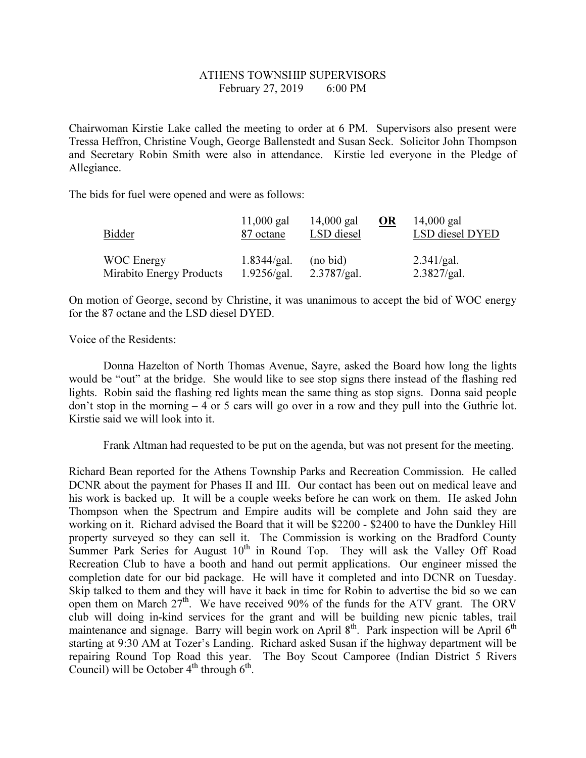## ATHENS TOWNSHIP SUPERVISORS February 27, 2019 6:00 PM

Chairwoman Kirstie Lake called the meeting to order at 6 PM. Supervisors also present were Tressa Heffron, Christine Vough, George Ballenstedt and Susan Seck. Solicitor John Thompson and Secretary Robin Smith were also in attendance. Kirstie led everyone in the Pledge of Allegiance.

The bids for fuel were opened and were as follows:

| Bidder            |                          | $11,000$ gal<br>87 octane  | $14,000$ gal<br>LSD diesel | $\overline{\text{OR}}$ | $14,000$ gal<br>LSD diesel DYED |  |
|-------------------|--------------------------|----------------------------|----------------------------|------------------------|---------------------------------|--|
| <b>WOC</b> Energy | Mirabito Energy Products | 1.8344/gal.<br>1.9256/gal. | (no bid)<br>2.3787/gal.    |                        | 2.341/gal.<br>2.3827/gal.       |  |

On motion of George, second by Christine, it was unanimous to accept the bid of WOC energy for the 87 octane and the LSD diesel DYED.

Voice of the Residents:

 Donna Hazelton of North Thomas Avenue, Sayre, asked the Board how long the lights would be "out" at the bridge. She would like to see stop signs there instead of the flashing red lights. Robin said the flashing red lights mean the same thing as stop signs. Donna said people don't stop in the morning – 4 or 5 cars will go over in a row and they pull into the Guthrie lot. Kirstie said we will look into it.

Frank Altman had requested to be put on the agenda, but was not present for the meeting.

Richard Bean reported for the Athens Township Parks and Recreation Commission. He called DCNR about the payment for Phases II and III. Our contact has been out on medical leave and his work is backed up. It will be a couple weeks before he can work on them. He asked John Thompson when the Spectrum and Empire audits will be complete and John said they are working on it. Richard advised the Board that it will be \$2200 - \$2400 to have the Dunkley Hill property surveyed so they can sell it. The Commission is working on the Bradford County Summer Park Series for August  $10<sup>th</sup>$  in Round Top. They will ask the Valley Off Road Recreation Club to have a booth and hand out permit applications. Our engineer missed the completion date for our bid package. He will have it completed and into DCNR on Tuesday. Skip talked to them and they will have it back in time for Robin to advertise the bid so we can open them on March 27<sup>th</sup>. We have received 90% of the funds for the ATV grant. The ORV club will doing in-kind services for the grant and will be building new picnic tables, trail maintenance and signage. Barry will begin work on April 8<sup>th</sup>. Park inspection will be April 6<sup>th</sup> starting at 9:30 AM at Tozer's Landing. Richard asked Susan if the highway department will be repairing Round Top Road this year. The Boy Scout Camporee (Indian District 5 Rivers Council) will be October  $4^{th}$  through  $6^{th}$ .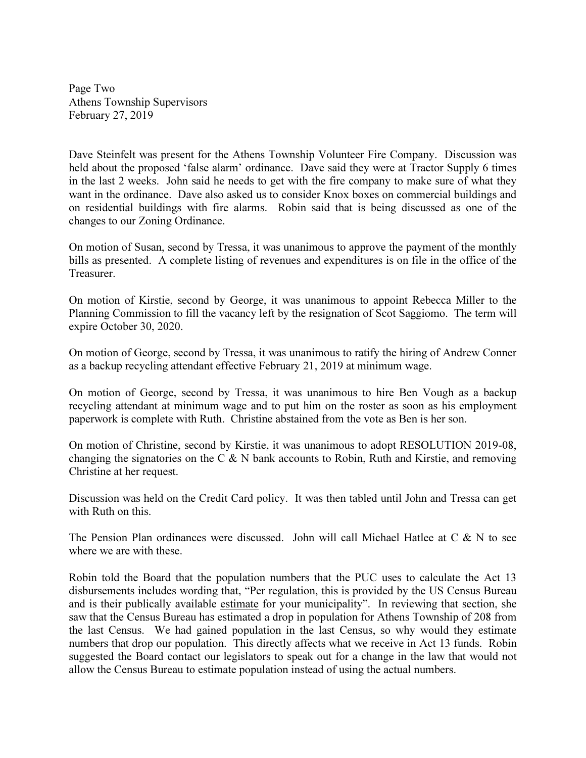Page Two Athens Township Supervisors February 27, 2019

Dave Steinfelt was present for the Athens Township Volunteer Fire Company. Discussion was held about the proposed 'false alarm' ordinance. Dave said they were at Tractor Supply 6 times in the last 2 weeks. John said he needs to get with the fire company to make sure of what they want in the ordinance. Dave also asked us to consider Knox boxes on commercial buildings and on residential buildings with fire alarms. Robin said that is being discussed as one of the changes to our Zoning Ordinance.

On motion of Susan, second by Tressa, it was unanimous to approve the payment of the monthly bills as presented. A complete listing of revenues and expenditures is on file in the office of the Treasurer.

On motion of Kirstie, second by George, it was unanimous to appoint Rebecca Miller to the Planning Commission to fill the vacancy left by the resignation of Scot Saggiomo. The term will expire October 30, 2020.

On motion of George, second by Tressa, it was unanimous to ratify the hiring of Andrew Conner as a backup recycling attendant effective February 21, 2019 at minimum wage.

On motion of George, second by Tressa, it was unanimous to hire Ben Vough as a backup recycling attendant at minimum wage and to put him on the roster as soon as his employment paperwork is complete with Ruth. Christine abstained from the vote as Ben is her son.

On motion of Christine, second by Kirstie, it was unanimous to adopt RESOLUTION 2019-08, changing the signatories on the C  $\&$  N bank accounts to Robin, Ruth and Kirstie, and removing Christine at her request.

Discussion was held on the Credit Card policy. It was then tabled until John and Tressa can get with Ruth on this.

The Pension Plan ordinances were discussed. John will call Michael Hatlee at C  $\&$  N to see where we are with these.

Robin told the Board that the population numbers that the PUC uses to calculate the Act 13 disbursements includes wording that, "Per regulation, this is provided by the US Census Bureau and is their publically available estimate for your municipality". In reviewing that section, she saw that the Census Bureau has estimated a drop in population for Athens Township of 208 from the last Census. We had gained population in the last Census, so why would they estimate numbers that drop our population. This directly affects what we receive in Act 13 funds. Robin suggested the Board contact our legislators to speak out for a change in the law that would not allow the Census Bureau to estimate population instead of using the actual numbers.